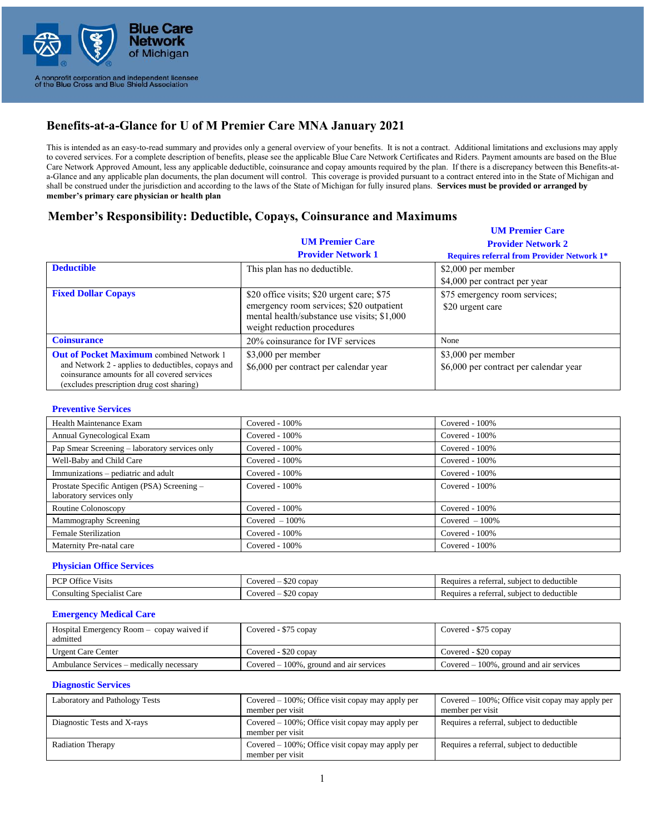

# **Benefits-at-a-Glance for U of M Premier Care MNA January 2021**

This is intended as an easy-to-read summary and provides only a general overview of your benefits. It is not a contract. Additional limitations and exclusions may apply to covered services. For a complete description of benefits, please see the applicable Blue Care Network Certificates and Riders. Payment amounts are based on the Blue Care Network Approved Amount, less any applicable deductible, coinsurance and copay amounts required by the plan. If there is a discrepancy between this Benefits-ata-Glance and any applicable plan documents, the plan document will control. This coverage is provided pursuant to a contract entered into in the State of Michigan and shall be construed under the jurisdiction and according to the laws of the State of Michigan for fully insured plans. **Services must be provided or arranged by member's primary care physician or health plan**

## **Memb Member's Responsibility: Deductible, Copays, Coinsurance and Maximums**

|                                                                                                                                                                                                    | <b>UM Premier Care</b><br><b>Provider Network 1</b>                                                                                                                  | <b>UM Premier Care</b><br><b>Provider Network 2</b><br><b>Requires referral from Provider Network 1*</b> |
|----------------------------------------------------------------------------------------------------------------------------------------------------------------------------------------------------|----------------------------------------------------------------------------------------------------------------------------------------------------------------------|----------------------------------------------------------------------------------------------------------|
| <b>Deductible</b>                                                                                                                                                                                  | This plan has no deductible.                                                                                                                                         | $$2,000$ per member<br>\$4,000 per contract per year                                                     |
| <b>Fixed Dollar Copays</b>                                                                                                                                                                         | \$20 office visits; \$20 urgent care; \$75<br>emergency room services; \$20 outpatient<br>mental health/substance use visits; \$1,000<br>weight reduction procedures | \$75 emergency room services;<br>\$20 urgent care                                                        |
| <b>Coinsurance</b>                                                                                                                                                                                 | 20% coinsurance for IVF services                                                                                                                                     | None                                                                                                     |
| <b>Out of Pocket Maximum</b> combined Network 1<br>and Network 2 - applies to deductibles, copays and<br>coinsurance amounts for all covered services<br>(excludes prescription drug cost sharing) | \$3,000 per member<br>\$6,000 per contract per calendar year                                                                                                         | \$3,000 per member<br>\$6,000 per contract per calendar year                                             |

#### **Preventive Services**

| Health Maintenance Exam                                                 | Covered $-100\%$  | Covered $-100\%$  |
|-------------------------------------------------------------------------|-------------------|-------------------|
| Annual Gynecological Exam                                               | Covered - $100\%$ | Covered - 100%    |
| Pap Smear Screening – laboratory services only                          | $Covered - 100\%$ | Covered - $100\%$ |
| Well-Baby and Child Care                                                | Covered $-100\%$  | Covered $-100\%$  |
| Immunizations – pediatric and adult                                     | Covered - 100%    | Covered - 100%    |
| Prostate Specific Antigen (PSA) Screening -<br>laboratory services only | $Covered - 100\%$ | Covered $-100\%$  |
| Routine Colonoscopy                                                     | Covered - $100\%$ | Covered $-100\%$  |
| Mammography Screening                                                   | Covered $-100\%$  | Covered $-100\%$  |
| <b>Female Sterilization</b>                                             | Covered $-100\%$  | Covered $-100\%$  |
| Maternity Pre-natal care                                                | Covered $-100\%$  | Covered $-100\%$  |

#### **Physician Office Services**

| $-1$<br>DCD.<br>' Office<br>Visits | ሐለ ሰ<br>Covered<br>copay          | $\cdot$ .<br>o deductible<br>a referral.<br>subject to<br>Requires  |
|------------------------------------|-----------------------------------|---------------------------------------------------------------------|
| Consulting Specialist<br>Care      | $\sim$ $\sim$<br>copay<br>Covered | $\cdot$ .<br>to deductible<br>a referral.<br>subject to<br>Requires |

#### **Emergency Medical Care**

| Hospital Emergency Room – copay waived if<br>admitted | Covered - \$75 copay                       | Covered - \$75 copay                       |
|-------------------------------------------------------|--------------------------------------------|--------------------------------------------|
| <b>Urgent Care Center</b>                             | Covered - \$20 copay                       | Covered - \$20 copay                       |
| Ambulance Services – medically necessary              | Covered $-100\%$ , ground and air services | Covered $-100\%$ , ground and air services |

#### **Diagnostic Services**

| Laboratory and Pathology Tests | Covered $-100\%$ ; Office visit copay may apply per<br>member per visit | Covered $-100\%$ ; Office visit copay may apply per<br>member per visit |
|--------------------------------|-------------------------------------------------------------------------|-------------------------------------------------------------------------|
| Diagnostic Tests and X-rays    | Covered $-100\%$ ; Office visit copay may apply per<br>member per visit | Requires a referral, subject to deductible                              |
| <b>Radiation Therapy</b>       | Covered $-100\%$ ; Office visit copay may apply per<br>member per visit | Requires a referral, subject to deductible                              |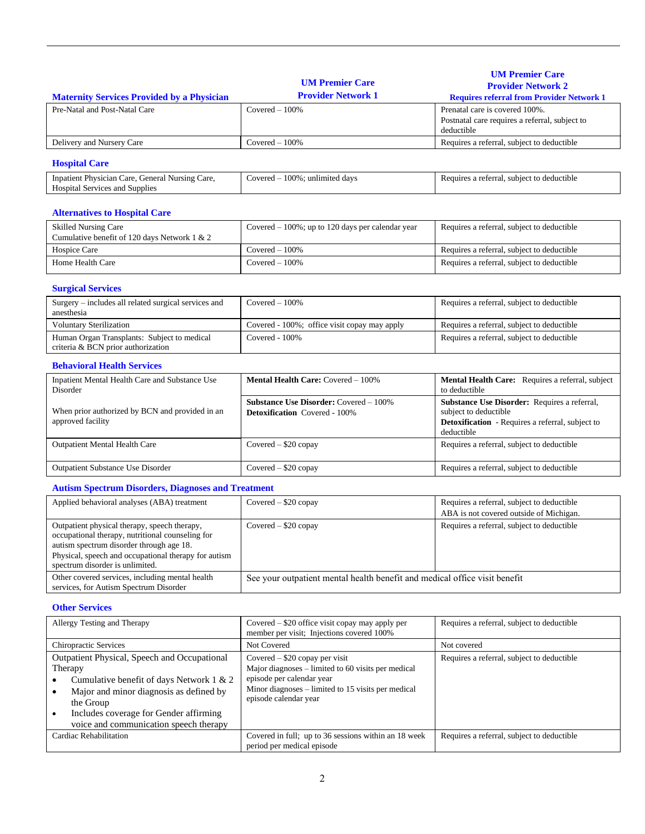|                                                                                                                                                                                                                                         |                                                                                                | <b>UM Premier Care</b>                                                                                                                  |
|-----------------------------------------------------------------------------------------------------------------------------------------------------------------------------------------------------------------------------------------|------------------------------------------------------------------------------------------------|-----------------------------------------------------------------------------------------------------------------------------------------|
|                                                                                                                                                                                                                                         | <b>UM Premier Care</b><br><b>Provider Network 1</b>                                            | <b>Provider Network 2</b>                                                                                                               |
| <b>Maternity Services Provided by a Physician</b><br>Pre-Natal and Post-Natal Care                                                                                                                                                      | $Covered - 100%$                                                                               | <b>Requires referral from Provider Network 1</b><br>Prenatal care is covered 100%.                                                      |
|                                                                                                                                                                                                                                         |                                                                                                | Postnatal care requires a referral, subject to<br>deductible                                                                            |
| Delivery and Nursery Care                                                                                                                                                                                                               | $Covered - 100\%$                                                                              | Requires a referral, subject to deductible                                                                                              |
| <b>Hospital Care</b>                                                                                                                                                                                                                    |                                                                                                |                                                                                                                                         |
| Inpatient Physician Care, General Nursing Care,<br>Hospital Services and Supplies                                                                                                                                                       | Covered $-100\%$ ; unlimited days                                                              | Requires a referral, subject to deductible                                                                                              |
| <b>Alternatives to Hospital Care</b>                                                                                                                                                                                                    |                                                                                                |                                                                                                                                         |
| <b>Skilled Nursing Care</b><br>Cumulative benefit of 120 days Network 1 & 2                                                                                                                                                             | Covered $-100\%$ ; up to 120 days per calendar year                                            | Requires a referral, subject to deductible                                                                                              |
| Hospice Care                                                                                                                                                                                                                            | $Covered - 100%$                                                                               | Requires a referral, subject to deductible                                                                                              |
| Home Health Care                                                                                                                                                                                                                        | $Covered - 100%$                                                                               | Requires a referral, subject to deductible                                                                                              |
| <b>Surgical Services</b>                                                                                                                                                                                                                |                                                                                                |                                                                                                                                         |
| Surgery - includes all related surgical services and<br>anesthesia                                                                                                                                                                      | $Covered - 100%$                                                                               | Requires a referral, subject to deductible                                                                                              |
| <b>Voluntary Sterilization</b>                                                                                                                                                                                                          | Covered - 100%; office visit copay may apply                                                   | Requires a referral, subject to deductible                                                                                              |
| Human Organ Transplants: Subject to medical<br>criteria & BCN prior authorization                                                                                                                                                       | Covered - 100%                                                                                 | Requires a referral, subject to deductible                                                                                              |
| <b>Behavioral Health Services</b>                                                                                                                                                                                                       |                                                                                                |                                                                                                                                         |
| Inpatient Mental Health Care and Substance Use<br>Disorder                                                                                                                                                                              | Mental Health Care: Covered - 100%                                                             | Mental Health Care: Requires a referral, subject<br>to deductible                                                                       |
| When prior authorized by BCN and provided in an<br>approved facility                                                                                                                                                                    | <b>Substance Use Disorder: Covered - 100%</b><br><b>Detoxification</b> Covered - 100%          | Substance Use Disorder: Requires a referral,<br>subject to deductible<br>Detoxification - Requires a referral, subject to<br>deductible |
| <b>Outpatient Mental Health Care</b>                                                                                                                                                                                                    | Covered - \$20 copay                                                                           | Requires a referral, subject to deductible                                                                                              |
| Outpatient Substance Use Disorder                                                                                                                                                                                                       | Covered - \$20 copay                                                                           | Requires a referral, subject to deductible                                                                                              |
| <b>Autism Spectrum Disorders, Diagnoses and Treatment</b>                                                                                                                                                                               |                                                                                                |                                                                                                                                         |
| Applied behavioral analyses (ABA) treatment                                                                                                                                                                                             | Covered - \$20 copay                                                                           | Requires a referral, subject to deductible<br>ABA is not covered outside of Michigan.                                                   |
| Outpatient physical therapy, speech therapy,<br>occupational therapy, nutritional counseling for<br>autism spectrum disorder through age 18.<br>Physical, speech and occupational therapy for autism<br>spectrum disorder is unlimited. | Covered - \$20 copay                                                                           | Requires a referral, subject to deductible                                                                                              |
| Other covered services, including mental health<br>services, for Autism Spectrum Disorder                                                                                                                                               | See your outpatient mental health benefit and medical office visit benefit                     |                                                                                                                                         |
| <b>Other Services</b>                                                                                                                                                                                                                   |                                                                                                |                                                                                                                                         |
| Allergy Testing and Therapy                                                                                                                                                                                                             | Covered $-$ \$20 office visit copay may apply per<br>member per visit; Injections covered 100% | Requires a referral, subject to deductible                                                                                              |
| Chiropractic Services                                                                                                                                                                                                                   | Not Covered                                                                                    | Not covered                                                                                                                             |
| Outpatient Physical, Speech and Occupational                                                                                                                                                                                            | Covered - \$20 copay per visit                                                                 | Requires a referral, subject to deductible                                                                                              |

| I |
|---|
|   |
|   |
|   |

Major diagnoses – limited to 60 visits per medical

Minor diagnoses – limited to 15 visits per medical

Covered in full; up to 36 sessions within an 18 week

Requires a referral, subject to deductible

episode per calendar year

period per medical episode

episode calendar year

Therapy

the Group

• Cumulative benefit of days Network 1 & 2 • Major and minor diagnosis as defined by

• Includes coverage for Gender affirming voice and communication speech therapy<br>Cardiac Rehabilitation